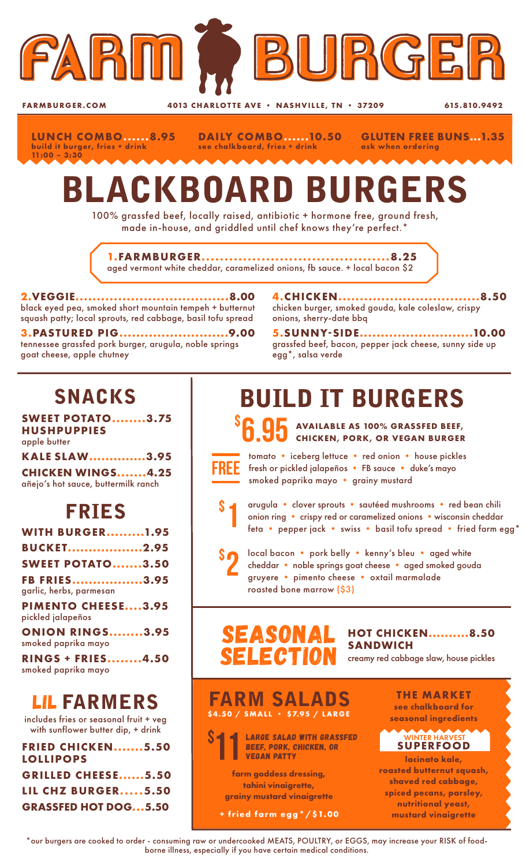

**FARMBURGER.COM** 4013 CHARLOTTE AVE • NASHVILLE, TN • 37209 615.810.9492

**LUNCH COMBO......8.95 build it burger, fries + drink 11:00 – 3:30**

**DAILY COMBO......10.50 see chalkboard, fries + drink**

**GLUTEN FREE BUNS...1.35 ask when ordering**

# BLACKBOARD BURGERS

100% grassfed beef, locally raised, antibiotic + hormone free, ground fresh, made in-house, and griddled until chef knows they're perfect.\*

**1.FARMBURGER.........................................8.25** aged vermont white cheddar, caramelized onions, fb sauce. + local bacon \$2

**2.VEGGIE....................................8.00** black eyed pea, smoked short mountain tempeh + butternut squash patty; local sprouts, red cabbage, basil tofu spread

**3.PASTURED PIG..........................9.00** tennessee grassfed pork burger, arugula, noble springs goat cheese, apple chutney

**4.CHICKEN.................................8.50** chicken burger, smoked gouda, kale coleslaw, crispy onions, sherry-date bbq

**5.SUNNY-SIDE...........................10.00** grassfed beef, bacon, pepper jack cheese, sunny side up egg\*, salsa verde

## SNACKS

**SWEET POTATO........3.75 HUSHPUPPIES** apple butter

**KALE SLAW..............3.95**

**CHICKEN WINGS.......4.25** añejo's hot sauce, buttermilk ranch

### FRIES

| <b>WITH BURGER1.95</b>                         |  |
|------------------------------------------------|--|
| <b>BUCKET2.95</b>                              |  |
| <b>SWEET POTATO3.50</b>                        |  |
| <b>FB FRIES3.95</b>                            |  |
| garlic, herbs, parmesan                        |  |
| <b>PIMENTO CHEESE3.95</b><br>pickled jalapeños |  |
| <b>ONION RINGS3.95</b><br>smoked paprika mayo  |  |
| <b>RINGS + FRIES4.50</b>                       |  |
|                                                |  |

smoked paprika mayo

### LIL FARMERS

includes fries or seasonal fruit + veg with sunflower butter dip, + drink

| <b>FRIED CHICKEN5.50</b>    |
|-----------------------------|
| <b>LOLLIPOPS</b>            |
| <b>GRILLED CHEESE5.50</b>   |
| <b>LIL CHZ BURGER5.50</b>   |
| <b>GRASSFED HOT DOG5.50</b> |
|                             |

# BUILD IT BURGERS

**95** AVAILABLE AS 100% GRASSFED BEEF, **CHICKEN, PORK, OR VEGAN BURGER**



\$

\$

tomato • iceberg lettuce • red onion • house pickles fresh or pickled jalapeños • FB sauce • duke's mayo smoked paprika mayo • grainy mustard

1 arugula • clover sprouts • sautéed mushrooms • red bean chili onion ring • crispy red or caramelized onions • wisconsin cheddar feta • pepper jack • swiss • basil tofu spread • fried farm egg\*

2 local bacon • pork belly • kenny's bleu • aged white cheddar • noble springs goat cheese • aged smoked gouda gruyere • pimento cheese • oxtail marmalade roasted bone marrow (\$3)

#### SEASONA SELE CTIO

**HOT CHICKEN..........8.50 SANDWICH** creamy red cabbage slaw, house pickles

> **THE MARKET see chalkboard for seasonal ingredients**

**SUPERFOOD lacinato kale, roasted butternut squash, shaved red cabbage, spiced pecans, parsley, nutritional yeast, mustard vinaigrette** 

WINTER HARVE



**+ fried farm egg\*/\$1.00**

\*our burgers are cooked to order - consuming raw or undercooked MEATS, POULTRY, or EGGS, may increase your RISK of foodborne illness, especially if you have certain medical conditions.